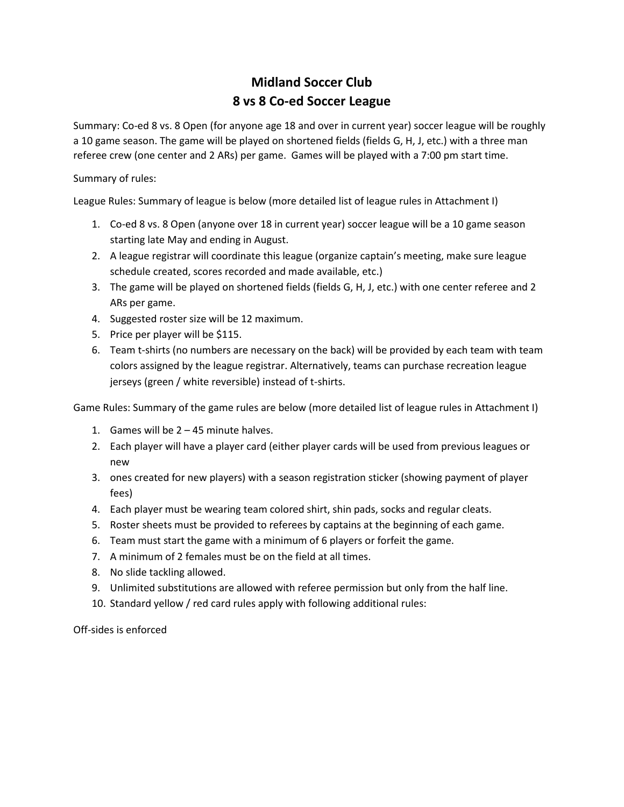# **Midland Soccer Club 8 vs 8 Co-ed Soccer League**

Summary: Co-ed 8 vs. 8 Open (for anyone age 18 and over in current year) soccer league will be roughly a 10 game season. The game will be played on shortened fields (fields G, H, J, etc.) with a three man referee crew (one center and 2 ARs) per game. Games will be played with a 7:00 pm start time.

# Summary of rules:

League Rules: Summary of league is below (more detailed list of league rules in Attachment I)

- 1. Co-ed 8 vs. 8 Open (anyone over 18 in current year) soccer league will be a 10 game season starting late May and ending in August.
- 2. A league registrar will coordinate this league (organize captain's meeting, make sure league schedule created, scores recorded and made available, etc.)
- 3. The game will be played on shortened fields (fields G, H, J, etc.) with one center referee and 2 ARs per game.
- 4. Suggested roster size will be 12 maximum.
- 5. Price per player will be \$115.
- 6. Team t-shirts (no numbers are necessary on the back) will be provided by each team with team colors assigned by the league registrar. Alternatively, teams can purchase recreation league jerseys (green / white reversible) instead of t-shirts.

Game Rules: Summary of the game rules are below (more detailed list of league rules in Attachment I)

- 1. Games will be 2 45 minute halves.
- 2. Each player will have a player card (either player cards will be used from previous leagues or new
- 3. ones created for new players) with a season registration sticker (showing payment of player fees)
- 4. Each player must be wearing team colored shirt, shin pads, socks and regular cleats.
- 5. Roster sheets must be provided to referees by captains at the beginning of each game.
- 6. Team must start the game with a minimum of 6 players or forfeit the game.
- 7. A minimum of 2 females must be on the field at all times.
- 8. No slide tackling allowed.
- 9. Unlimited substitutions are allowed with referee permission but only from the half line.
- 10. Standard yellow / red card rules apply with following additional rules:

Off-sides is enforced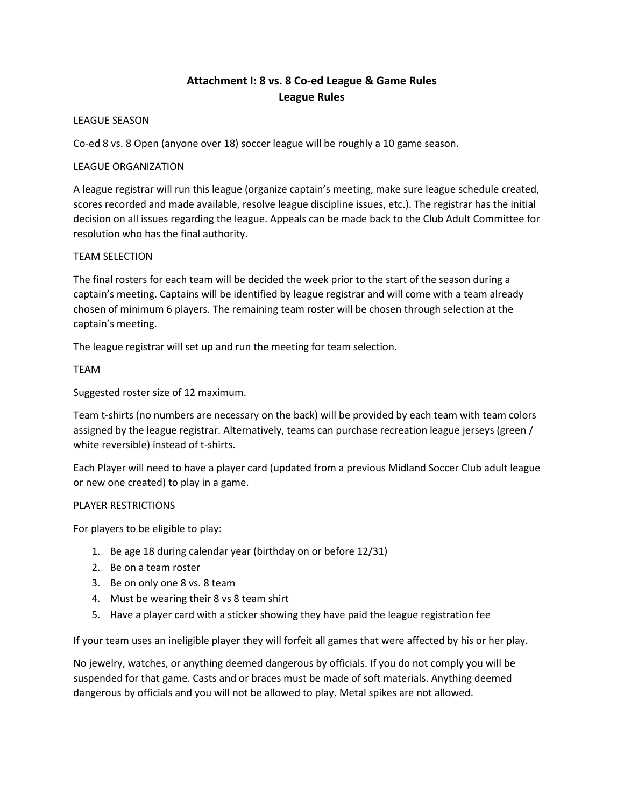# **Attachment I: 8 vs. 8 Co-ed League & Game Rules League Rules**

# LEAGUE SEASON

Co-ed 8 vs. 8 Open (anyone over 18) soccer league will be roughly a 10 game season.

# LEAGUE ORGANIZATION

A league registrar will run this league (organize captain's meeting, make sure league schedule created, scores recorded and made available, resolve league discipline issues, etc.). The registrar has the initial decision on all issues regarding the league. Appeals can be made back to the Club Adult Committee for resolution who has the final authority.

# TEAM SELECTION

The final rosters for each team will be decided the week prior to the start of the season during a captain's meeting. Captains will be identified by league registrar and will come with a team already chosen of minimum 6 players. The remaining team roster will be chosen through selection at the captain's meeting.

The league registrar will set up and run the meeting for team selection.

# TEAM

Suggested roster size of 12 maximum.

Team t-shirts (no numbers are necessary on the back) will be provided by each team with team colors assigned by the league registrar. Alternatively, teams can purchase recreation league jerseys (green / white reversible) instead of t-shirts.

Each Player will need to have a player card (updated from a previous Midland Soccer Club adult league or new one created) to play in a game.

# PLAYER RESTRICTIONS

For players to be eligible to play:

- 1. Be age 18 during calendar year (birthday on or before 12/31)
- 2. Be on a team roster
- 3. Be on only one 8 vs. 8 team
- 4. Must be wearing their 8 vs 8 team shirt
- 5. Have a player card with a sticker showing they have paid the league registration fee

If your team uses an ineligible player they will forfeit all games that were affected by his or her play.

No jewelry, watches, or anything deemed dangerous by officials. If you do not comply you will be suspended for that game. Casts and or braces must be made of soft materials. Anything deemed dangerous by officials and you will not be allowed to play. Metal spikes are not allowed.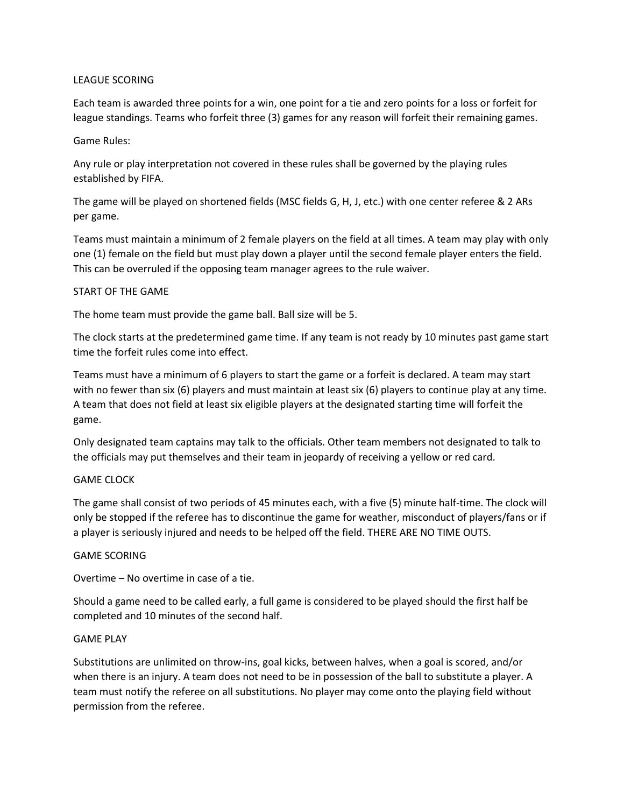#### LEAGUE SCORING

Each team is awarded three points for a win, one point for a tie and zero points for a loss or forfeit for league standings. Teams who forfeit three (3) games for any reason will forfeit their remaining games.

#### Game Rules:

Any rule or play interpretation not covered in these rules shall be governed by the playing rules established by FIFA.

The game will be played on shortened fields (MSC fields G, H, J, etc.) with one center referee & 2 ARs per game.

Teams must maintain a minimum of 2 female players on the field at all times. A team may play with only one (1) female on the field but must play down a player until the second female player enters the field. This can be overruled if the opposing team manager agrees to the rule waiver.

#### START OF THE GAME

The home team must provide the game ball. Ball size will be 5.

The clock starts at the predetermined game time. If any team is not ready by 10 minutes past game start time the forfeit rules come into effect.

Teams must have a minimum of 6 players to start the game or a forfeit is declared. A team may start with no fewer than six (6) players and must maintain at least six (6) players to continue play at any time. A team that does not field at least six eligible players at the designated starting time will forfeit the game.

Only designated team captains may talk to the officials. Other team members not designated to talk to the officials may put themselves and their team in jeopardy of receiving a yellow or red card.

# GAME CLOCK

The game shall consist of two periods of 45 minutes each, with a five (5) minute half-time. The clock will only be stopped if the referee has to discontinue the game for weather, misconduct of players/fans or if a player is seriously injured and needs to be helped off the field. THERE ARE NO TIME OUTS.

# GAME SCORING

Overtime – No overtime in case of a tie.

Should a game need to be called early, a full game is considered to be played should the first half be completed and 10 minutes of the second half.

#### GAME PLAY

Substitutions are unlimited on throw-ins, goal kicks, between halves, when a goal is scored, and/or when there is an injury. A team does not need to be in possession of the ball to substitute a player. A team must notify the referee on all substitutions. No player may come onto the playing field without permission from the referee.